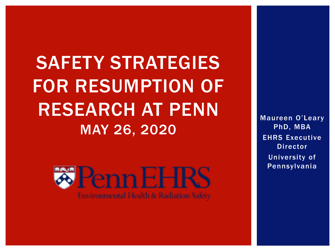SAFETY STRATEGIES FOR RESUMPTION OF RESEARCH AT PENN MAY 26, 2020



Maureen O'Leary PhD, MBA EHRS Executive Director University of Pennsylvania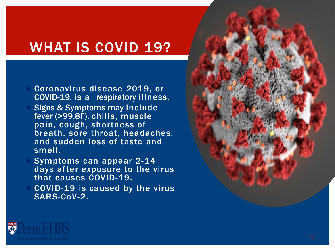# WHAT IS COVID 19?

- Coronavirus disease 2019, or COVID -19, is a respiratory illness .
- Signs & Symptoms may include fever (>99.8F), chills, muscle pain, cough, shortness of breath, sore throat, headaches, and sudden loss of taste and smell.
- Symptoms can appear 2-14 days after exposure to the virus that causes COVID -19.
- COVID -19 is caused by the virus SARS -CoV -2.



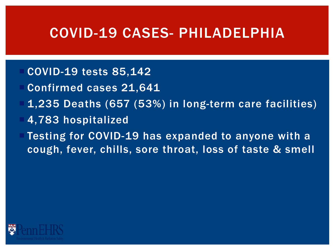### COVID-19 CASES- PHILADELPHIA

- COVID-19 tests 85,142
- Confirmed cases 21,641
- 1,235 Deaths (657 (53%) in long-term care facilities)
- 4,783 hospitalized
- Testing for COVID-19 has expanded to anyone with a cough, fever, chills, sore throat, loss of taste & smell

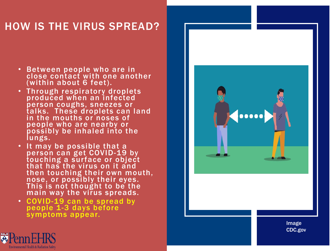#### HOW IS THE VIRUS SPREAD?

- Between people who are in close contact with one another (within about 6 feet).
- Through respiratory droplets produced when an infected person coughs, sneezes or talks. These droplets can land in the mouths or noses of people who are nearby or possibly be inhaled into the lungs.
- It may be possible that a person can get COVID-19 by touching a surface or object that has the virus on it and then touching their own mouth, nose, or possibly their eyes. This is not thought to be the main way the virus spreads.
- COVID -19 can be spread by people 1-3 days before symptoms appear.



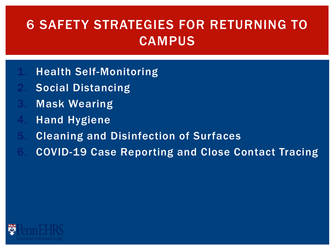## 6 SAFETY STRATEGIES FOR RETURNING TO **CAMPUS**

- **Health Self-Monitoring**
- Social Distancing
- **Mask Wearing**
- **Hand Hygiene**
- 5. Cleaning and Disinfection of Surfaces
- 6. COVID-19 Case Reporting and Close Contact Tracing

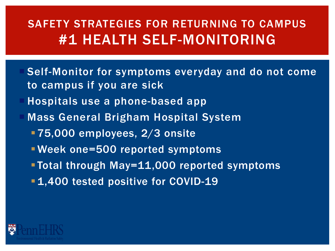### SAFETY STRATEGIES FOR RETURNING TO CAMPUS #1 HEALTH SELF-MONITORING

- Self-Monitor for symptoms everyday and do not come to campus if you are sick
- Hospitals use a phone-based app
- Mass General Brigham Hospital System
	- **175,000 employees, 2/3 onsite**
	- Week one=500 reported symptoms
	- Total through May=11,000 reported symptoms
	- **1,400 tested positive for COVID-19**

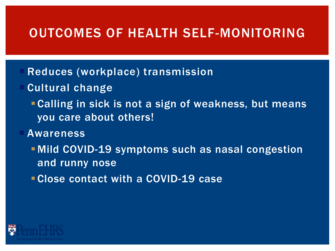#### OUTCOMES OF HEALTH SELF-MONITORING

- Reduces (workplace) transmission
- Cultural change
	- Calling in sick is not a sign of weakness, but means you care about others!
- Awareness
	- **Mild COVID-19 symptoms such as nasal congestion** and runny nose
	- Close contact with a COVID-19 case

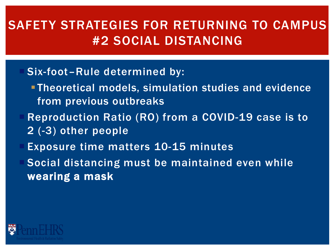#### SAFETY STRATEGIES FOR RETURNING TO CAMPUS #2 SOCIAL DISTANCING

#### Six-foot–Rule determined by:

- Theoretical models, simulation studies and evidence from previous outbreaks
- Reproduction Ratio (RO) from a COVID-19 case is to 2 (-3) other people
- Exposure time matters 10-15 minutes

 Social distancing must be maintained even while wearing a mask

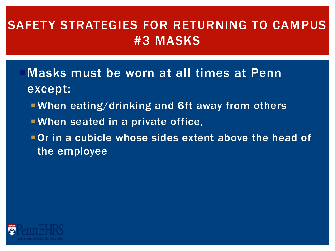### SAFETY STRATEGIES FOR RETURNING TO CAMPUS #3 MASKS

- Masks must be worn at all times at Penn except:
	- When eating/drinking and 6ft away from others
	- When seated in a private office,
	- Or in a cubicle whose sides extent above the head of the employee

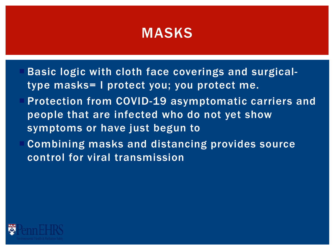## MASKS

- Basic logic with cloth face coverings and surgicaltype masks= I protect you; you protect me.
- Protection from COVID-19 asymptomatic carriers and people that are infected who do not yet show symptoms or have just begun to
- Combining masks and distancing provides source control for viral transmission

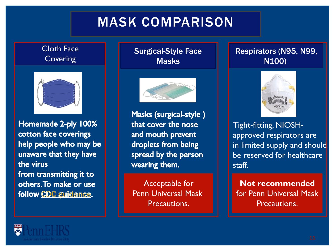## MASK COMPARISON

#### Cloth Face **Covering**



Homemade 2-ply 100% cotton face coverings help people who may be unaware that they have the virus from transmitting it to others. To make or use follow CDC guidance.

#### Surgical-Style Face **Masks**



Masks (surgical-style) that cover the nose and mouth prevent droplets from being spread by the person wearing them.

Acceptable for Penn Universal Mask Precautions.

#### Respirators (N95, N99, N100)



Tight-fitting, NIOSHapproved respirators are in limited supply and should be reserved for healthcare staff.

**Not recommended**  for Penn Universal Mask Precautions.

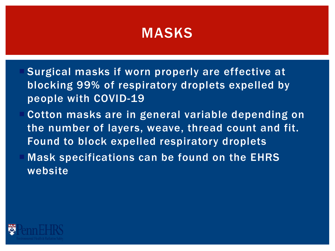## MASKS

- Surgical masks if worn properly are effective at blocking 99% of respiratory droplets expelled by people with COVID-19
- Cotton masks are in general variable depending on the number of layers, weave, thread count and fit. Found to block expelled respiratory droplets Mask specifications can be found on the EHRS website

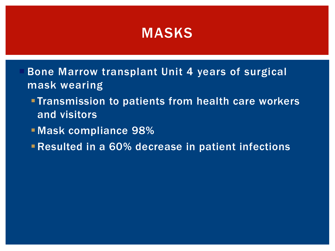#### MASKS

- Bone Marrow transplant Unit 4 years of surgical mask wearing
	- **Transmission to patients from health care workers** and visitors
	- Mask compliance 98%
	- Resulted in a 60% decrease in patient infections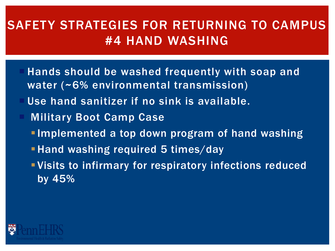### SAFETY STRATEGIES FOR RETURNING TO CAMPUS #4 HAND WASHING

- Hands should be washed frequently with soap and water (~6% environmental transmission)
- Use hand sanitizer if no sink is available.
- Military Boot Camp Case
	- **Implemented a top down program of hand washing**
	- **Hand washing required 5 times/day**
	- Visits to infirmary for respiratory infections reduced by 45%

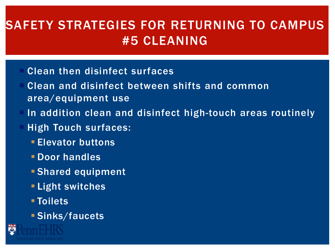### SAFETY STRATEGIES FOR RETURNING TO CAMPUS #5 CLEANING

- Clean then disinfect surfaces
- Clean and disinfect between shifts and common area/equipment use
- In addition clean and disinfect high-touch areas routinely
- High Touch surfaces:
	- **Elevator buttons**
	- Door handles
	- Shared equipment
	- **Light switches**
	- Toilets
	- Sinks/faucets

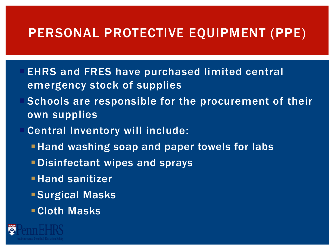#### PERSONAL PROTECTIVE EQUIPMENT (PPE)

- EHRS and FRES have purchased limited central emergency stock of supplies
- Schools are responsible for the procurement of their own supplies
- Central Inventory will include:
	- **-Hand washing soap and paper towels for labs**
	- Disinfectant wipes and sprays
	- **Hand sanitizer**
	- **Surgical Masks**
	- Cloth Masks

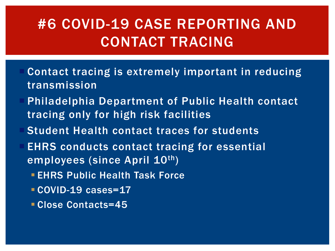# #6 COVID-19 CASE REPORTING AND CONTACT TRACING

- Contact tracing is extremely important in reducing transmission
- Philadelphia Department of Public Health contact tracing only for high risk facilities
- Student Health contact traces for students
- EHRS conducts contact tracing for essential employees (since April 10th)
	- **EHRS Public Health Task Force**
	- COVID-19 cases=17
	- Close Contacts=45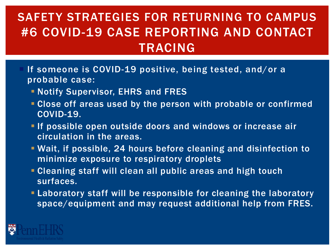#### SAFETY STRATEGIES FOR RETURNING TO CAMPUS #6 COVID-19 CASE REPORTING AND CONTACT TRACING

- If someone is COVID-19 positive, being tested, and/or a probable case:
	- **Notify Supervisor, EHRS and FRES**
	- Close off areas used by the person with probable or confirmed COVID-19.
	- **If possible open outside doors and windows or increase air** circulation in the areas.
	- Wait, if possible, 24 hours before cleaning and disinfection to minimize exposure to respiratory droplets
	- Cleaning staff will clean all public areas and high touch surfaces.
	- Laboratory staff will be responsible for cleaning the laboratory space/equipment and may request additional help from FRES.

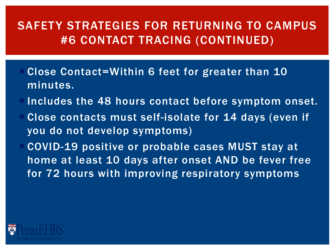#### SAFETY STRATEGIES FOR RETURNING TO CAMPUS #6 CONTACT TRACING (CONTINUED)

- Close Contact=Within 6 feet for greater than 10 minutes.
- Includes the 48 hours contact before symptom onset.
- Close contacts must self-isolate for 14 days (even if you do not develop symptoms)
- COVID-19 positive or probable cases MUST stay at home at least 10 days after onset AND be fever free for 72 hours with improving respiratory symptoms

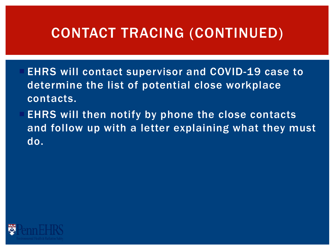## CONTACT TRACING (CONTINUED)

- EHRS will contact supervisor and COVID-19 case to determine the list of potential close workplace contacts.
- EHRS will then notify by phone the close contacts and follow up with a letter explaining what they must do.

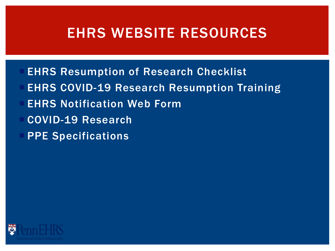## EHRS WEBSITE RESOURCES

- EHRS Resumption of Research Checklist
- EHRS COVID-19 Research Resumption Training
- EHRS Notification Web Form
- COVID-19 Research
- PPE Specifications

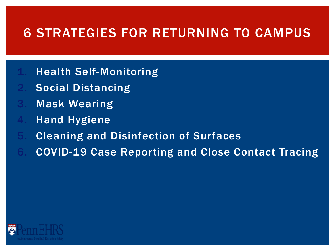#### 6 STRATEGIES FOR RETURNING TO CAMPUS

- **Health Self-Monitoring**
- Social Distancing
- **Mask Wearing**
- **Hand Hygiene**
- 5. Cleaning and Disinfection of Surfaces
- 6. COVID-19 Case Reporting and Close Contact Tracing